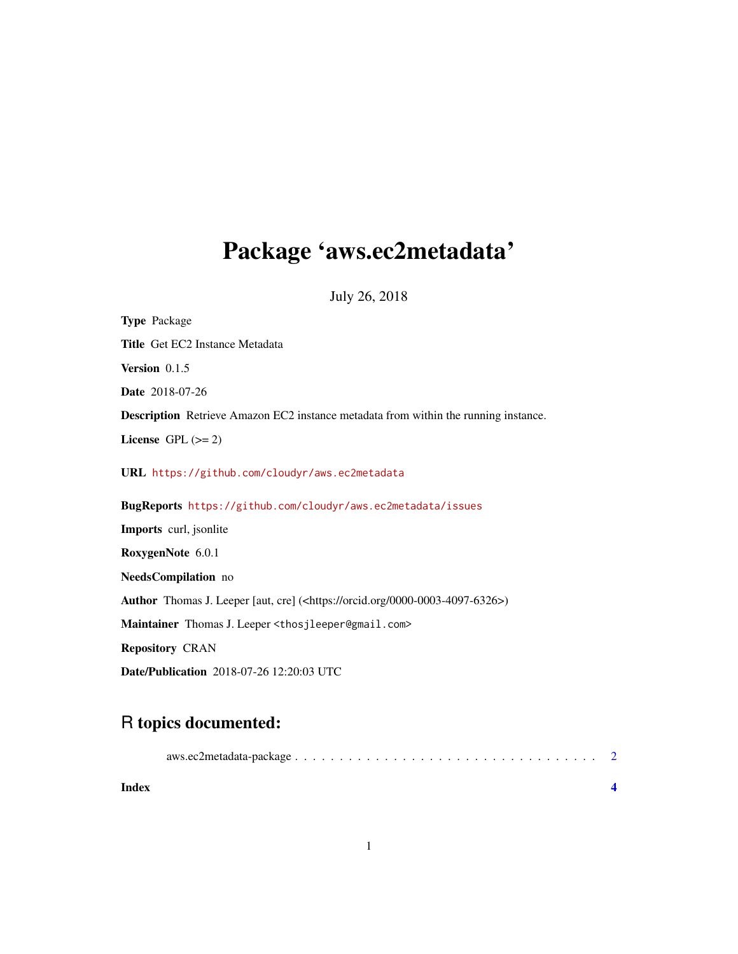## Package 'aws.ec2metadata'

July 26, 2018

Type Package Title Get EC2 Instance Metadata Version 0.1.5 Date 2018-07-26 Description Retrieve Amazon EC2 instance metadata from within the running instance. License GPL  $(>= 2)$ URL <https://github.com/cloudyr/aws.ec2metadata> BugReports <https://github.com/cloudyr/aws.ec2metadata/issues> Imports curl, jsonlite RoxygenNote 6.0.1 NeedsCompilation no Author Thomas J. Leeper [aut, cre] (<https://orcid.org/0000-0003-4097-6326>) Maintainer Thomas J. Leeper <thosjleeper@gmail.com> Repository CRAN Date/Publication 2018-07-26 12:20:03 UTC

### R topics documented:

| Index |  |
|-------|--|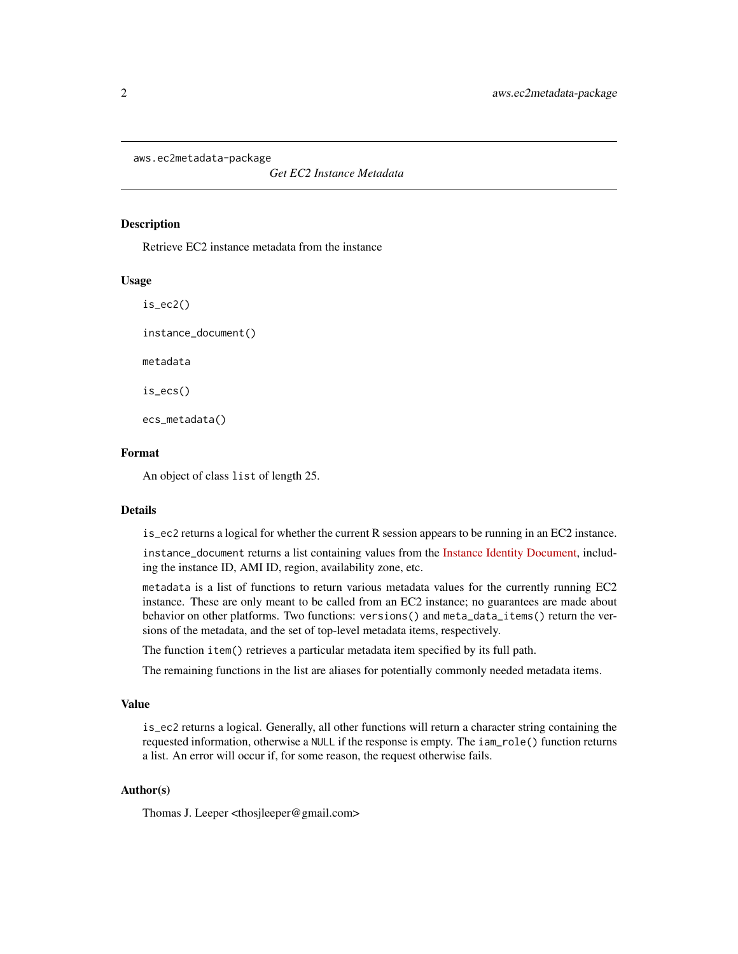<span id="page-1-0"></span>aws.ec2metadata-package

*Get EC2 Instance Metadata*

#### Description

Retrieve EC2 instance metadata from the instance

#### Usage

is\_ec2()

instance\_document()

metadata

is\_ecs()

ecs\_metadata()

#### Format

An object of class list of length 25.

#### Details

is\_ec2 returns a logical for whether the current R session appears to be running in an EC2 instance.

instance\_document returns a list containing values from the [Instance Identity Document,](http://docs.aws.amazon.com/AWSEC2/latest/UserGuide/instance-identity-documents.html) including the instance ID, AMI ID, region, availability zone, etc.

metadata is a list of functions to return various metadata values for the currently running EC2 instance. These are only meant to be called from an EC2 instance; no guarantees are made about behavior on other platforms. Two functions: versions() and meta\_data\_items() return the versions of the metadata, and the set of top-level metadata items, respectively.

The function item() retrieves a particular metadata item specified by its full path.

The remaining functions in the list are aliases for potentially commonly needed metadata items.

#### Value

is\_ec2 returns a logical. Generally, all other functions will return a character string containing the requested information, otherwise a NULL if the response is empty. The iam\_role() function returns a list. An error will occur if, for some reason, the request otherwise fails.

#### Author(s)

Thomas J. Leeper <thosjleeper@gmail.com>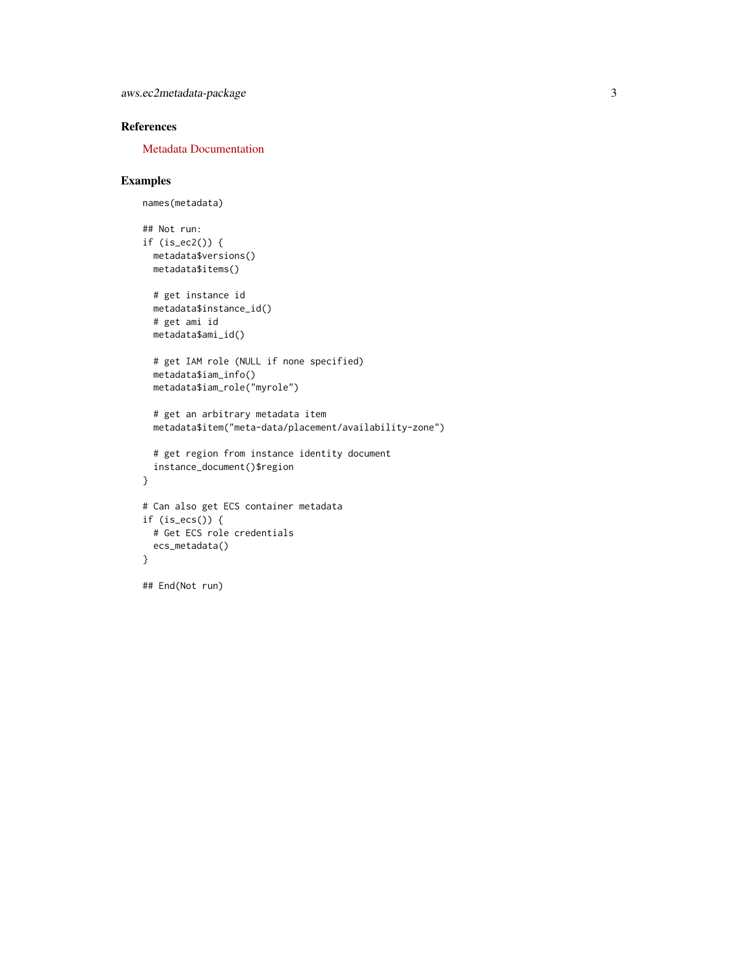#### References

[Metadata Documentation](http://docs.aws.amazon.com/AWSEC2/latest/UserGuide/ec2-instance-metadata.html)

#### Examples

```
names(metadata)
## Not run:
if (is_ec2()) {
 metadata$versions()
 metadata$items()
  # get instance id
  metadata$instance_id()
  # get ami id
 metadata$ami_id()
  # get IAM role (NULL if none specified)
  metadata$iam_info()
  metadata$iam_role("myrole")
  # get an arbitrary metadata item
  metadata$item("meta-data/placement/availability-zone")
  # get region from instance identity document
  instance_document()$region
}
# Can also get ECS container metadata
if (is_ecs()) {
  # Get ECS role credentials
  ecs_metadata()
}
## End(Not run)
```